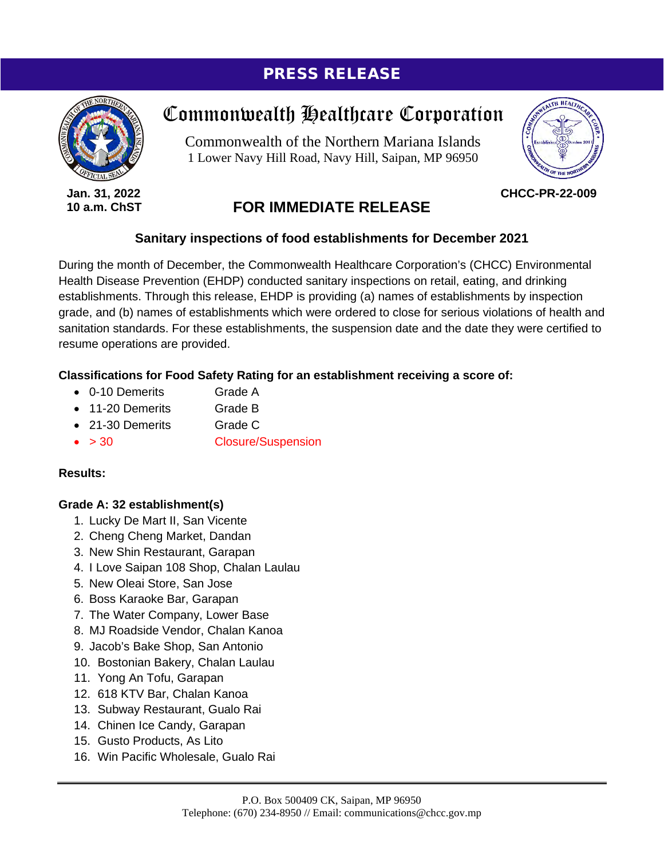## PRESS RELEASE



**Jan. 31, 2022 10 a.m. ChST**

# Commonwealth Healthcare Corporation

Commonwealth of the Northern Mariana Islands 1 Lower Navy Hill Road, Navy Hill, Saipan, MP 96950



**CHCC-PR-22-009**

### **FOR IMMEDIATE RELEASE**

#### **Sanitary inspections of food establishments for December 2021**

During the month of December, the Commonwealth Healthcare Corporation's (CHCC) Environmental Health Disease Prevention (EHDP) conducted sanitary inspections on retail, eating, and drinking establishments. Through this release, EHDP is providing (a) names of establishments by inspection grade, and (b) names of establishments which were ordered to close for serious violations of health and sanitation standards. For these establishments, the suspension date and the date they were certified to resume operations are provided.

#### **Classifications for Food Safety Rating for an establishment receiving a score of:**

- 0-10 Demerits Grade A
- 11-20 Demerits Grade B
- 21-30 Demerits Grade C
- > 30 Closure/Suspension

#### **Results:**

#### **Grade A: 32 establishment(s)**

- 1. Lucky De Mart II, San Vicente
- 2. Cheng Cheng Market, Dandan
- 3. New Shin Restaurant, Garapan
- 4. I Love Saipan 108 Shop, Chalan Laulau
- 5. New Oleai Store, San Jose
- 6. Boss Karaoke Bar, Garapan
- 7. The Water Company, Lower Base
- 8. MJ Roadside Vendor, Chalan Kanoa
- 9. Jacob's Bake Shop, San Antonio
- 10. Bostonian Bakery, Chalan Laulau
- 11. Yong An Tofu, Garapan
- 12. 618 KTV Bar, Chalan Kanoa
- 13. Subway Restaurant, Gualo Rai
- 14. Chinen Ice Candy, Garapan
- 15. Gusto Products, As Lito
- 16. Win Pacific Wholesale, Gualo Rai